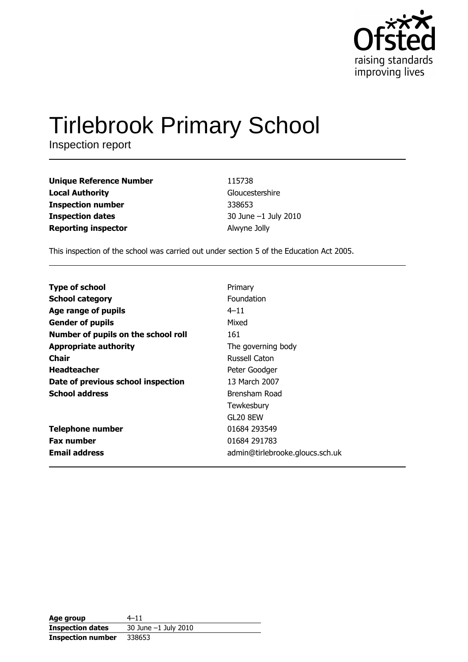

# **Tirlebrook Primary School**

Inspection report

| Unique Reference Number | 115738               |
|-------------------------|----------------------|
| Local Authority         | Gloucestershire      |
| Inspection number       | 338653               |
| <b>Inspection dates</b> | 30 June -1 July 2010 |
| Reporting inspector     | Alwyne Jolly         |
|                         |                      |

This inspection of the school was carried out under section 5 of the Education Act 2005.

| <b>Type of school</b>               | Primary                         |
|-------------------------------------|---------------------------------|
|                                     |                                 |
| <b>School category</b>              | Foundation                      |
| Age range of pupils                 | $4 - 11$                        |
| <b>Gender of pupils</b>             | Mixed                           |
| Number of pupils on the school roll | 161                             |
| <b>Appropriate authority</b>        | The governing body              |
| Chair                               | Russell Caton                   |
| <b>Headteacher</b>                  | Peter Goodger                   |
| Date of previous school inspection  | 13 March 2007                   |
| <b>School address</b>               | Brensham Road                   |
|                                     | Tewkesbury                      |
|                                     | GL20 8EW                        |
| <b>Telephone number</b>             | 01684 293549                    |
| <b>Fax number</b>                   | 01684 291783                    |
| <b>Email address</b>                | admin@tirlebrooke.gloucs.sch.uk |

| Age group                | 4–11                     |
|--------------------------|--------------------------|
| <b>Inspection dates</b>  | $30$ June $-1$ July 2010 |
| <b>Inspection number</b> | 338653                   |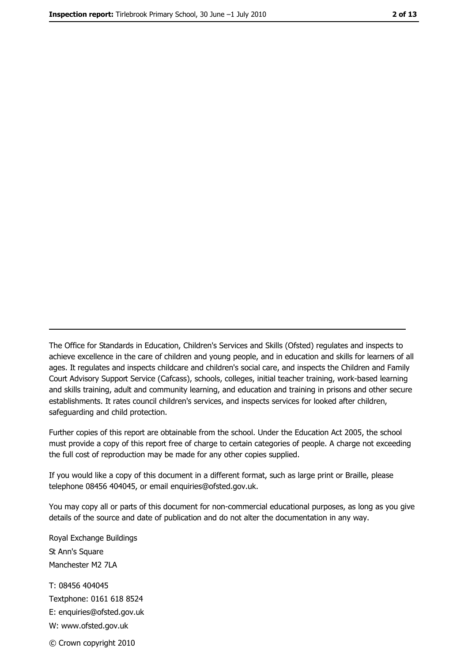The Office for Standards in Education, Children's Services and Skills (Ofsted) regulates and inspects to achieve excellence in the care of children and young people, and in education and skills for learners of all ages. It regulates and inspects childcare and children's social care, and inspects the Children and Family Court Advisory Support Service (Cafcass), schools, colleges, initial teacher training, work-based learning and skills training, adult and community learning, and education and training in prisons and other secure establishments. It rates council children's services, and inspects services for looked after children, safequarding and child protection.

Further copies of this report are obtainable from the school. Under the Education Act 2005, the school must provide a copy of this report free of charge to certain categories of people. A charge not exceeding the full cost of reproduction may be made for any other copies supplied.

If you would like a copy of this document in a different format, such as large print or Braille, please telephone 08456 404045, or email enquiries@ofsted.gov.uk.

You may copy all or parts of this document for non-commercial educational purposes, as long as you give details of the source and date of publication and do not alter the documentation in any way.

Royal Exchange Buildings St Ann's Square Manchester M2 7LA T: 08456 404045 Textphone: 0161 618 8524 E: enquiries@ofsted.gov.uk W: www.ofsted.gov.uk © Crown copyright 2010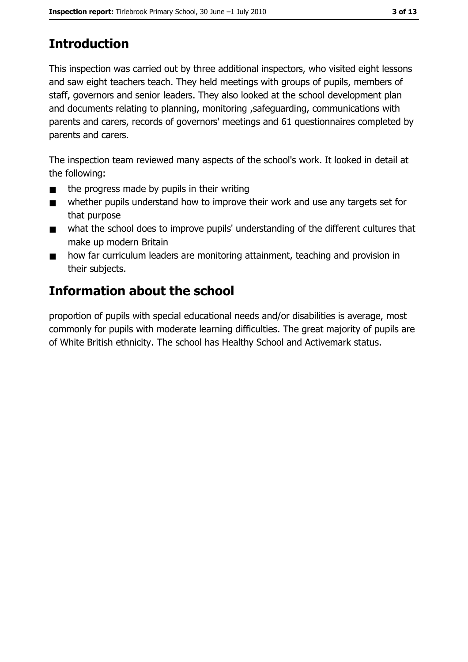# **Introduction**

This inspection was carried out by three additional inspectors, who visited eight lessons and saw eight teachers teach. They held meetings with groups of pupils, members of staff, governors and senior leaders. They also looked at the school development plan and documents relating to planning, monitoring, safeguarding, communications with parents and carers, records of governors' meetings and 61 questionnaires completed by parents and carers.

The inspection team reviewed many aspects of the school's work. It looked in detail at the following:

- the progress made by pupils in their writing  $\blacksquare$
- whether pupils understand how to improve their work and use any targets set for  $\blacksquare$ that purpose
- what the school does to improve pupils' understanding of the different cultures that  $\blacksquare$ make up modern Britain
- how far curriculum leaders are monitoring attainment, teaching and provision in  $\blacksquare$ their subjects.

# **Information about the school**

proportion of pupils with special educational needs and/or disabilities is average, most commonly for pupils with moderate learning difficulties. The great majority of pupils are of White British ethnicity. The school has Healthy School and Activemark status.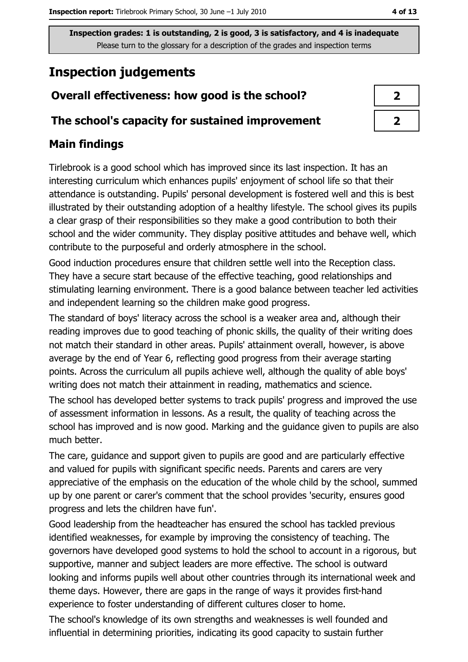Inspection grades: 1 is outstanding, 2 is good, 3 is satisfactory, and 4 is inadequate Please turn to the glossary for a description of the grades and inspection terms

# **Inspection judgements**

## Overall effectiveness: how good is the school?

#### The school's capacity for sustained improvement

## **Main findings**

Tirlebrook is a good school which has improved since its last inspection. It has an interesting curriculum which enhances pupils' enjoyment of school life so that their attendance is outstanding. Pupils' personal development is fostered well and this is best illustrated by their outstanding adoption of a healthy lifestyle. The school gives its pupils a clear grasp of their responsibilities so they make a good contribution to both their school and the wider community. They display positive attitudes and behave well, which contribute to the purposeful and orderly atmosphere in the school.

Good induction procedures ensure that children settle well into the Reception class. They have a secure start because of the effective teaching, good relationships and stimulating learning environment. There is a good balance between teacher led activities and independent learning so the children make good progress.

The standard of boys' literacy across the school is a weaker area and, although their reading improves due to good teaching of phonic skills, the quality of their writing does not match their standard in other areas. Pupils' attainment overall, however, is above average by the end of Year 6, reflecting good progress from their average starting points. Across the curriculum all pupils achieve well, although the quality of able boys' writing does not match their attainment in reading, mathematics and science.

The school has developed better systems to track pupils' progress and improved the use of assessment information in lessons. As a result, the quality of teaching across the school has improved and is now good. Marking and the guidance given to pupils are also much better.

The care, guidance and support given to pupils are good and are particularly effective and valued for pupils with significant specific needs. Parents and carers are very appreciative of the emphasis on the education of the whole child by the school, summed up by one parent or carer's comment that the school provides 'security, ensures good progress and lets the children have fun'.

Good leadership from the headteacher has ensured the school has tackled previous identified weaknesses, for example by improving the consistency of teaching. The governors have developed good systems to hold the school to account in a rigorous, but supportive, manner and subject leaders are more effective. The school is outward looking and informs pupils well about other countries through its international week and theme days. However, there are gaps in the range of ways it provides first-hand experience to foster understanding of different cultures closer to home.

The school's knowledge of its own strengths and weaknesses is well founded and influential in determining priorities, indicating its good capacity to sustain further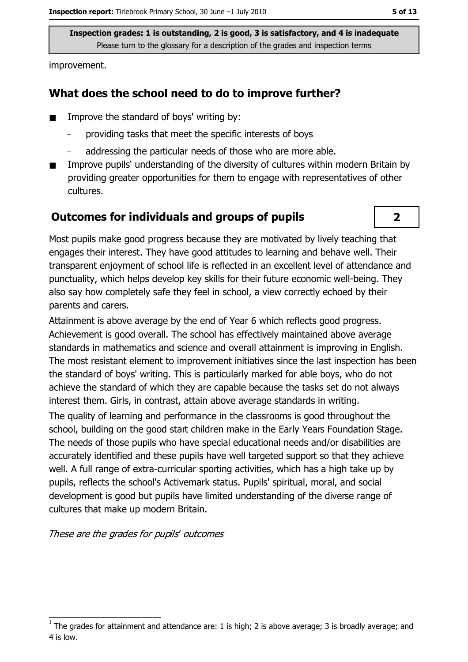Inspection grades: 1 is outstanding, 2 is good, 3 is satisfactory, and 4 is inadequate Please turn to the glossary for a description of the grades and inspection terms

improvement.

#### What does the school need to do to improve further?

- Improve the standard of boys' writing by:
	- providing tasks that meet the specific interests of boys
	- addressing the particular needs of those who are more able.
- Improve pupils' understanding of the diversity of cultures within modern Britain by  $\blacksquare$ providing greater opportunities for them to engage with representatives of other cultures.

#### **Outcomes for individuals and groups of pupils**



Most pupils make good progress because they are motivated by lively teaching that engages their interest. They have good attitudes to learning and behave well. Their transparent enjoyment of school life is reflected in an excellent level of attendance and punctuality, which helps develop key skills for their future economic well-being. They also say how completely safe they feel in school, a view correctly echoed by their parents and carers.

Attainment is above average by the end of Year 6 which reflects good progress. Achievement is good overall. The school has effectively maintained above average standards in mathematics and science and overall attainment is improving in English. The most resistant element to improvement initiatives since the last inspection has been the standard of boys' writing. This is particularly marked for able boys, who do not achieve the standard of which they are capable because the tasks set do not always interest them. Girls, in contrast, attain above average standards in writing.

The quality of learning and performance in the classrooms is good throughout the school, building on the good start children make in the Early Years Foundation Stage. The needs of those pupils who have special educational needs and/or disabilities are accurately identified and these pupils have well targeted support so that they achieve well. A full range of extra-curricular sporting activities, which has a high take up by pupils, reflects the school's Activemark status. Pupils' spiritual, moral, and social development is good but pupils have limited understanding of the diverse range of cultures that make up modern Britain.

These are the grades for pupils' outcomes

The grades for attainment and attendance are: 1 is high; 2 is above average; 3 is broadly average; and 4 is low.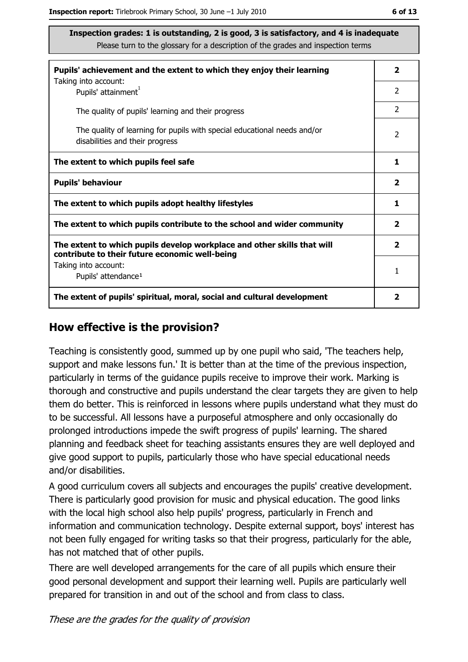Inspection grades: 1 is outstanding, 2 is good, 3 is satisfactory, and 4 is inadequate Please turn to the glossary for a description of the grades and inspection terms

| Pupils' achievement and the extent to which they enjoy their learning                                                     |               |  |
|---------------------------------------------------------------------------------------------------------------------------|---------------|--|
| Taking into account:<br>Pupils' attainment <sup>1</sup>                                                                   | 2             |  |
| The quality of pupils' learning and their progress                                                                        | $\mathcal{P}$ |  |
| The quality of learning for pupils with special educational needs and/or<br>disabilities and their progress               | 2             |  |
| The extent to which pupils feel safe                                                                                      |               |  |
| <b>Pupils' behaviour</b>                                                                                                  |               |  |
| The extent to which pupils adopt healthy lifestyles                                                                       | 1             |  |
| The extent to which pupils contribute to the school and wider community                                                   |               |  |
| The extent to which pupils develop workplace and other skills that will<br>contribute to their future economic well-being |               |  |
| Taking into account:<br>Pupils' attendance <sup>1</sup>                                                                   | 1             |  |
| The extent of pupils' spiritual, moral, social and cultural development                                                   |               |  |

#### How effective is the provision?

Teaching is consistently good, summed up by one pupil who said, 'The teachers help, support and make lessons fun.' It is better than at the time of the previous inspection, particularly in terms of the quidance pupils receive to improve their work. Marking is thorough and constructive and pupils understand the clear targets they are given to help them do better. This is reinforced in lessons where pupils understand what they must do to be successful. All lessons have a purposeful atmosphere and only occasionally do prolonged introductions impede the swift progress of pupils' learning. The shared planning and feedback sheet for teaching assistants ensures they are well deployed and give good support to pupils, particularly those who have special educational needs and/or disabilities.

A good curriculum covers all subjects and encourages the pupils' creative development. There is particularly good provision for music and physical education. The good links with the local high school also help pupils' progress, particularly in French and information and communication technology. Despite external support, boys' interest has not been fully engaged for writing tasks so that their progress, particularly for the able, has not matched that of other pupils.

There are well developed arrangements for the care of all pupils which ensure their good personal development and support their learning well. Pupils are particularly well prepared for transition in and out of the school and from class to class.

These are the grades for the quality of provision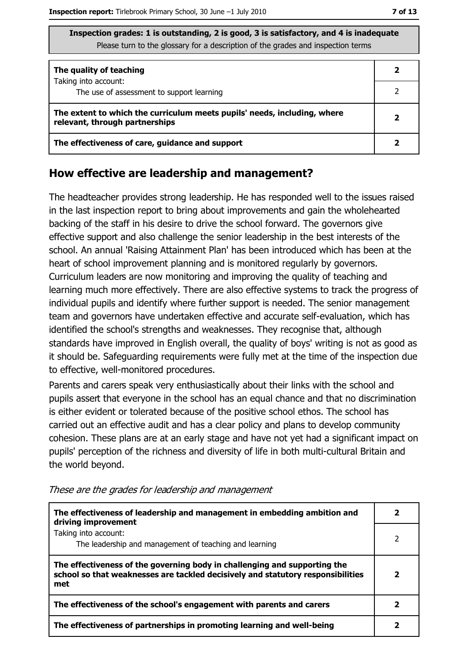| Inspection grades: 1 is outstanding, 2 is good, 3 is satisfactory, and 4 is inadequate |
|----------------------------------------------------------------------------------------|
| Please turn to the glossary for a description of the grades and inspection terms       |

| The quality of teaching                                                                                    |  |
|------------------------------------------------------------------------------------------------------------|--|
| Taking into account:<br>The use of assessment to support learning                                          |  |
| The extent to which the curriculum meets pupils' needs, including, where<br>relevant, through partnerships |  |
| The effectiveness of care, guidance and support                                                            |  |

#### How effective are leadership and management?

The headteacher provides strong leadership. He has responded well to the issues raised in the last inspection report to bring about improvements and gain the wholehearted backing of the staff in his desire to drive the school forward. The governors give effective support and also challenge the senior leadership in the best interests of the school. An annual 'Raising Attainment Plan' has been introduced which has been at the heart of school improvement planning and is monitored regularly by governors. Curriculum leaders are now monitoring and improving the quality of teaching and learning much more effectively. There are also effective systems to track the progress of individual pupils and identify where further support is needed. The senior management team and governors have undertaken effective and accurate self-evaluation, which has identified the school's strengths and weaknesses. They recognise that, although standards have improved in English overall, the quality of boys' writing is not as good as it should be. Safeguarding requirements were fully met at the time of the inspection due to effective, well-monitored procedures.

Parents and carers speak very enthusiastically about their links with the school and pupils assert that everyone in the school has an equal chance and that no discrimination is either evident or tolerated because of the positive school ethos. The school has carried out an effective audit and has a clear policy and plans to develop community cohesion. These plans are at an early stage and have not yet had a significant impact on pupils' perception of the richness and diversity of life in both multi-cultural Britain and the world beyond.

| The effectiveness of leadership and management in embedding ambition and<br>driving improvement                                                                     |  |
|---------------------------------------------------------------------------------------------------------------------------------------------------------------------|--|
| Taking into account:<br>The leadership and management of teaching and learning                                                                                      |  |
| The effectiveness of the governing body in challenging and supporting the<br>school so that weaknesses are tackled decisively and statutory responsibilities<br>met |  |
| The effectiveness of the school's engagement with parents and carers                                                                                                |  |
| The effectiveness of partnerships in promoting learning and well-being                                                                                              |  |

These are the grades for leadership and management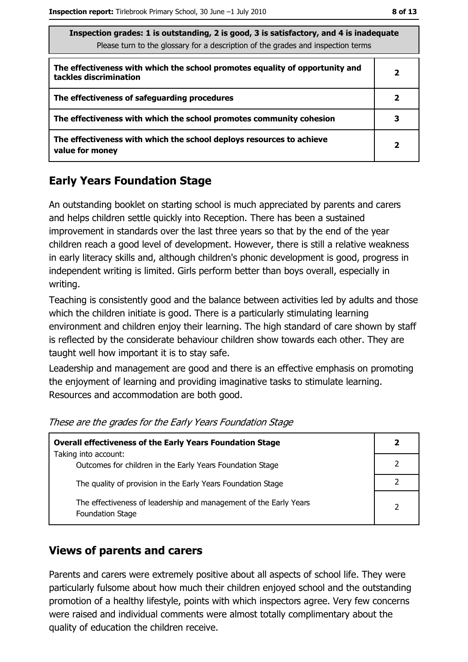$\overline{2}$ 

| Inspection grades: 1 is outstanding, 2 is good, 3 is satisfactory, and 4 is inadequate<br>Please turn to the glossary for a description of the grades and inspection terms |                         |  |
|----------------------------------------------------------------------------------------------------------------------------------------------------------------------------|-------------------------|--|
| The effectiveness with which the school promotes equality of opportunity and<br>tackles discrimination                                                                     | 2                       |  |
| The effectiveness of safeguarding procedures                                                                                                                               | $\overline{\mathbf{2}}$ |  |
| The effectiveness with which the school promotes community cohesion                                                                                                        | 3                       |  |

The effectiveness with which the school deploys resources to achieve value for money

## **Early Years Foundation Stage**

An outstanding booklet on starting school is much appreciated by parents and carers and helps children settle quickly into Reception. There has been a sustained improvement in standards over the last three years so that by the end of the year children reach a good level of development. However, there is still a relative weakness in early literacy skills and, although children's phonic development is good, progress in independent writing is limited. Girls perform better than boys overall, especially in writing.

Teaching is consistently good and the balance between activities led by adults and those which the children initiate is good. There is a particularly stimulating learning environment and children enjoy their learning. The high standard of care shown by staff is reflected by the considerate behaviour children show towards each other. They are taught well how important it is to stay safe.

Leadership and management are good and there is an effective emphasis on promoting the enjoyment of learning and providing imaginative tasks to stimulate learning. Resources and accommodation are both good.

| <b>Overall effectiveness of the Early Years Foundation Stage</b>                      |  |  |
|---------------------------------------------------------------------------------------|--|--|
| Taking into account:                                                                  |  |  |
| Outcomes for children in the Early Years Foundation Stage                             |  |  |
| The quality of provision in the Early Years Foundation Stage                          |  |  |
| The effectiveness of leadership and management of the Early Years<br>Foundation Stage |  |  |

These are the grades for the Early Years Foundation Stage

## **Views of parents and carers**

Parents and carers were extremely positive about all aspects of school life. They were particularly fulsome about how much their children enjoyed school and the outstanding promotion of a healthy lifestyle, points with which inspectors agree. Very few concerns were raised and individual comments were almost totally complimentary about the quality of education the children receive.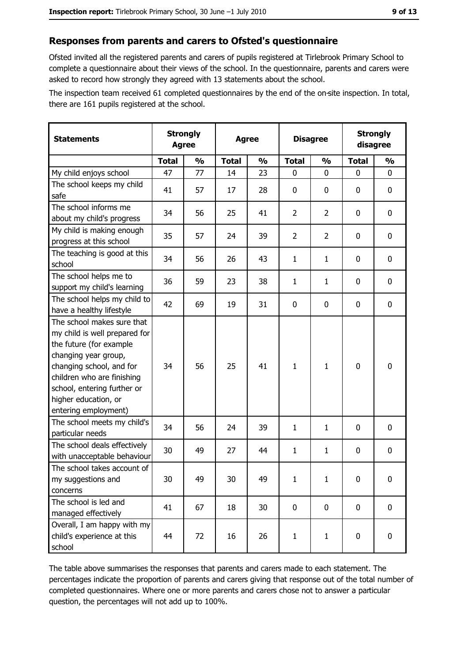#### Responses from parents and carers to Ofsted's questionnaire

Ofsted invited all the registered parents and carers of pupils registered at Tirlebrook Primary School to complete a questionnaire about their views of the school. In the questionnaire, parents and carers were asked to record how strongly they agreed with 13 statements about the school.

The inspection team received 61 completed questionnaires by the end of the on-site inspection. In total, there are 161 pupils registered at the school.

| <b>Statements</b>                                                                                                                                                                                                                                       | <b>Agree</b> | <b>Strongly</b> | <b>Agree</b> |               | <b>Disagree</b> |                | <b>Strongly</b><br>disagree |               |
|---------------------------------------------------------------------------------------------------------------------------------------------------------------------------------------------------------------------------------------------------------|--------------|-----------------|--------------|---------------|-----------------|----------------|-----------------------------|---------------|
|                                                                                                                                                                                                                                                         | <b>Total</b> | $\frac{0}{0}$   | <b>Total</b> | $\frac{0}{0}$ | <b>Total</b>    | $\frac{0}{0}$  | <b>Total</b>                | $\frac{0}{0}$ |
| My child enjoys school                                                                                                                                                                                                                                  | 47           | 77              | 14           | 23            | $\mathbf{0}$    | 0              | $\mathbf{0}$                | 0             |
| The school keeps my child<br>safe                                                                                                                                                                                                                       | 41           | 57              | 17           | 28            | $\mathbf 0$     | 0              | $\mathbf{0}$                | 0             |
| The school informs me<br>about my child's progress                                                                                                                                                                                                      | 34           | 56              | 25           | 41            | $\overline{2}$  | $\overline{2}$ | 0                           | 0             |
| My child is making enough<br>progress at this school                                                                                                                                                                                                    | 35           | 57              | 24           | 39            | $\overline{2}$  | $\overline{2}$ | 0                           | 0             |
| The teaching is good at this<br>school                                                                                                                                                                                                                  | 34           | 56              | 26           | 43            | $\mathbf{1}$    | $\mathbf{1}$   | 0                           | 0             |
| The school helps me to<br>support my child's learning                                                                                                                                                                                                   | 36           | 59              | 23           | 38            | $\mathbf{1}$    | $\mathbf{1}$   | 0                           | 0             |
| The school helps my child to<br>have a healthy lifestyle                                                                                                                                                                                                | 42           | 69              | 19           | 31            | $\mathbf 0$     | 0              | 0                           | 0             |
| The school makes sure that<br>my child is well prepared for<br>the future (for example<br>changing year group,<br>changing school, and for<br>children who are finishing<br>school, entering further or<br>higher education, or<br>entering employment) | 34           | 56              | 25           | 41            | $\mathbf{1}$    | $\mathbf{1}$   | $\mathbf 0$                 | 0             |
| The school meets my child's<br>particular needs                                                                                                                                                                                                         | 34           | 56              | 24           | 39            | 1               | $\mathbf{1}$   | 0                           | 0             |
| The school deals effectively<br>with unacceptable behaviour                                                                                                                                                                                             | 30           | 49              | 27           | 44            | $\mathbf{1}$    | $\mathbf{1}$   | 0                           | 0             |
| The school takes account of<br>my suggestions and<br>concerns                                                                                                                                                                                           | 30           | 49              | 30           | 49            | $\mathbf{1}$    | $\mathbf{1}$   | 0                           | 0             |
| The school is led and<br>managed effectively                                                                                                                                                                                                            | 41           | 67              | 18           | 30            | $\mathbf 0$     | 0              | 0                           | $\mathbf 0$   |
| Overall, I am happy with my<br>child's experience at this<br>school                                                                                                                                                                                     | 44           | 72              | 16           | 26            | $\mathbf{1}$    | $\mathbf{1}$   | 0                           | 0             |

The table above summarises the responses that parents and carers made to each statement. The percentages indicate the proportion of parents and carers giving that response out of the total number of completed questionnaires. Where one or more parents and carers chose not to answer a particular question, the percentages will not add up to 100%.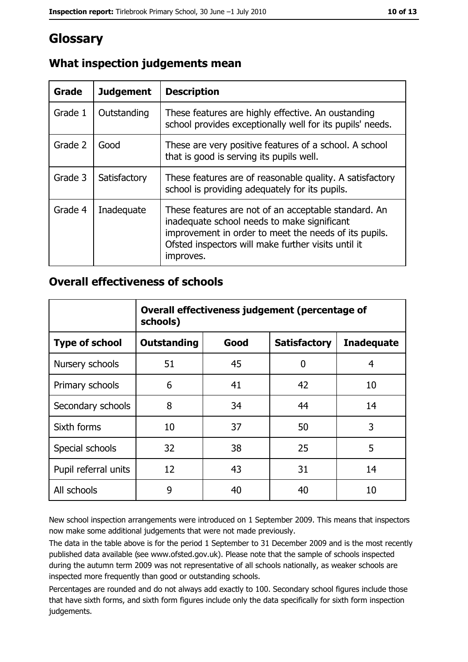## Glossary

| Grade   | <b>Judgement</b> | <b>Description</b>                                                                                                                                                                                                               |
|---------|------------------|----------------------------------------------------------------------------------------------------------------------------------------------------------------------------------------------------------------------------------|
| Grade 1 | Outstanding      | These features are highly effective. An oustanding<br>school provides exceptionally well for its pupils' needs.                                                                                                                  |
| Grade 2 | Good             | These are very positive features of a school. A school<br>that is good is serving its pupils well.                                                                                                                               |
| Grade 3 | Satisfactory     | These features are of reasonable quality. A satisfactory<br>school is providing adequately for its pupils.                                                                                                                       |
| Grade 4 | Inadequate       | These features are not of an acceptable standard. An<br>inadequate school needs to make significant<br>improvement in order to meet the needs of its pupils.<br>Ofsted inspectors will make further visits until it<br>improves. |

## What inspection judgements mean

#### **Overall effectiveness of schools**

|                       | Overall effectiveness judgement (percentage of<br>schools) |      |                     |                   |
|-----------------------|------------------------------------------------------------|------|---------------------|-------------------|
| <b>Type of school</b> | <b>Outstanding</b>                                         | Good | <b>Satisfactory</b> | <b>Inadequate</b> |
| Nursery schools       | 51                                                         | 45   | 0                   | 4                 |
| Primary schools       | 6                                                          | 41   | 42                  | 10                |
| Secondary schools     | 8                                                          | 34   | 44                  | 14                |
| Sixth forms           | 10                                                         | 37   | 50                  | 3                 |
| Special schools       | 32                                                         | 38   | 25                  | 5                 |
| Pupil referral units  | 12                                                         | 43   | 31                  | 14                |
| All schools           | 9                                                          | 40   | 40                  | 10                |

New school inspection arrangements were introduced on 1 September 2009. This means that inspectors now make some additional judgements that were not made previously.

The data in the table above is for the period 1 September to 31 December 2009 and is the most recently published data available (see www.ofsted.gov.uk). Please note that the sample of schools inspected during the autumn term 2009 was not representative of all schools nationally, as weaker schools are inspected more frequently than good or outstanding schools.

Percentages are rounded and do not always add exactly to 100. Secondary school figures include those that have sixth forms, and sixth form figures include only the data specifically for sixth form inspection judgements.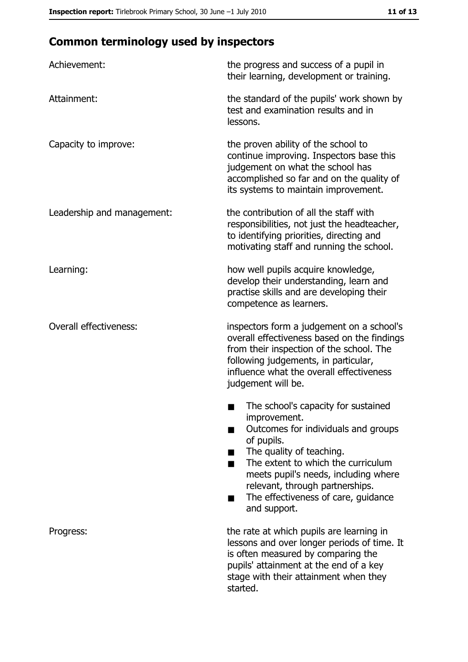# **Common terminology used by inspectors**

| Achievement:                  | the progress and success of a pupil in<br>their learning, development or training.                                                                                                                                                                                                                           |  |  |
|-------------------------------|--------------------------------------------------------------------------------------------------------------------------------------------------------------------------------------------------------------------------------------------------------------------------------------------------------------|--|--|
| Attainment:                   | the standard of the pupils' work shown by<br>test and examination results and in<br>lessons.                                                                                                                                                                                                                 |  |  |
| Capacity to improve:          | the proven ability of the school to<br>continue improving. Inspectors base this<br>judgement on what the school has<br>accomplished so far and on the quality of<br>its systems to maintain improvement.                                                                                                     |  |  |
| Leadership and management:    | the contribution of all the staff with<br>responsibilities, not just the headteacher,<br>to identifying priorities, directing and<br>motivating staff and running the school.                                                                                                                                |  |  |
| Learning:                     | how well pupils acquire knowledge,<br>develop their understanding, learn and<br>practise skills and are developing their<br>competence as learners.                                                                                                                                                          |  |  |
| <b>Overall effectiveness:</b> | inspectors form a judgement on a school's<br>overall effectiveness based on the findings<br>from their inspection of the school. The<br>following judgements, in particular,<br>influence what the overall effectiveness<br>judgement will be.                                                               |  |  |
|                               | The school's capacity for sustained<br>improvement.<br>Outcomes for individuals and groups<br>of pupils.<br>The quality of teaching.<br>The extent to which the curriculum<br>meets pupil's needs, including where<br>relevant, through partnerships.<br>The effectiveness of care, guidance<br>and support. |  |  |
| Progress:                     | the rate at which pupils are learning in<br>lessons and over longer periods of time. It<br>is often measured by comparing the<br>pupils' attainment at the end of a key<br>stage with their attainment when they<br>started.                                                                                 |  |  |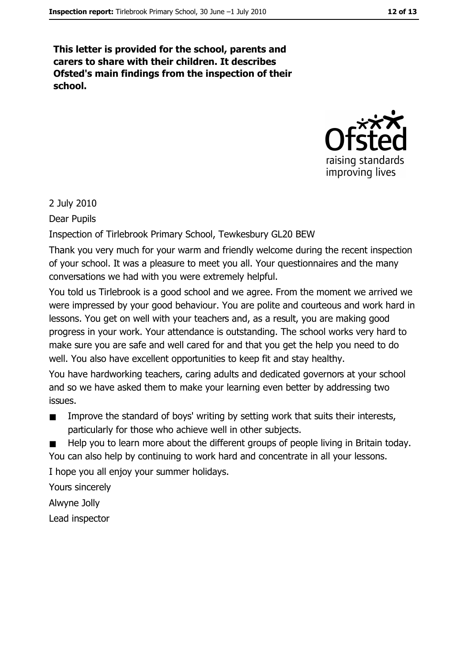This letter is provided for the school, parents and carers to share with their children. It describes Ofsted's main findings from the inspection of their school.



#### 2 July 2010

Dear Pupils

Inspection of Tirlebrook Primary School, Tewkesbury GL20 BEW

Thank you very much for your warm and friendly welcome during the recent inspection of your school. It was a pleasure to meet you all. Your questionnaires and the many conversations we had with you were extremely helpful.

You told us Tirlebrook is a good school and we agree. From the moment we arrived we were impressed by your good behaviour. You are polite and courteous and work hard in lessons. You get on well with your teachers and, as a result, you are making good progress in your work. Your attendance is outstanding. The school works very hard to make sure you are safe and well cared for and that you get the help you need to do well. You also have excellent opportunities to keep fit and stay healthy.

You have hardworking teachers, caring adults and dedicated governors at your school and so we have asked them to make your learning even better by addressing two issues.

- Improve the standard of boys' writing by setting work that suits their interests,  $\blacksquare$ particularly for those who achieve well in other subjects.
- Help you to learn more about the different groups of people living in Britain today. You can also help by continuing to work hard and concentrate in all your lessons.

I hope you all enjoy your summer holidays.

Yours sincerely

Alwyne Jolly

Lead inspector